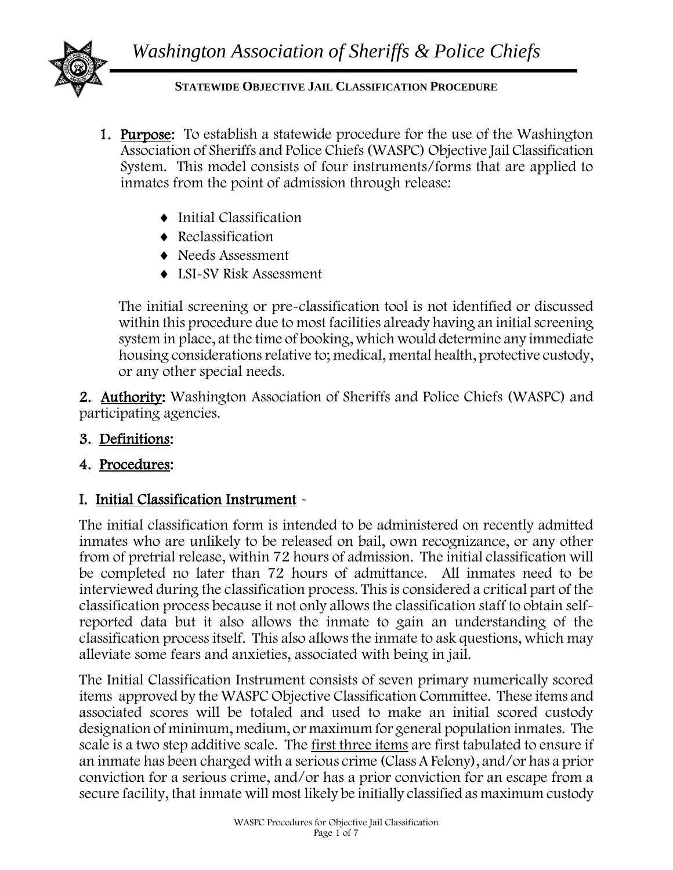

#### **STATEWIDE OBJECTIVE JAIL CLASSIFICATION PROCEDURE**

- 1. Purpose: To establish a statewide procedure for the use of the Washington Association of Sheriffs and Police Chiefs (WASPC) Objective Jail Classification System. This model consists of four instruments/forms that are applied to inmates from the point of admission through release:
	- ◆ Initial Classification
	- Reclassification
	- ◆ Needs Assessment
	- ◆ LSI-SV Risk Assessment

The initial screening or pre-classification tool is not identified or discussed within this procedure due to most facilities already having an initial screening system in place, at the time of booking, which would determine any immediate housing considerations relative to; medical, mental health, protective custody, or any other special needs.

2. Authority: Washington Association of Sheriffs and Police Chiefs (WASPC) and participating agencies.

- 3. Definitions:
- 4. Procedures:

## I. Initial Classification Instrument -

The initial classification form is intended to be administered on recently admitted inmates who are unlikely to be released on bail, own recognizance, or any other from of pretrial release, within 72 hours of admission. The initial classification will be completed no later than 72 hours of admittance. All inmates need to be interviewed during the classification process. This is considered a critical part of the classification process because it not only allows the classification staff to obtain selfreported data but it also allows the inmate to gain an understanding of the classification process itself. This also allows the inmate to ask questions, which may alleviate some fears and anxieties, associated with being in jail.

The Initial Classification Instrument consists of seven primary numerically scored items approved by the WASPC Objective Classification Committee. These items and associated scores will be totaled and used to make an initial scored custody designation of minimum, medium, or maximum for general population inmates. The scale is a two step additive scale. The first three items are first tabulated to ensure if an inmate has been charged with a serious crime (Class A Felony), and/or has a prior conviction for a serious crime, and/or has a prior conviction for an escape from a secure facility, that inmate will most likely be initially classified as maximum custody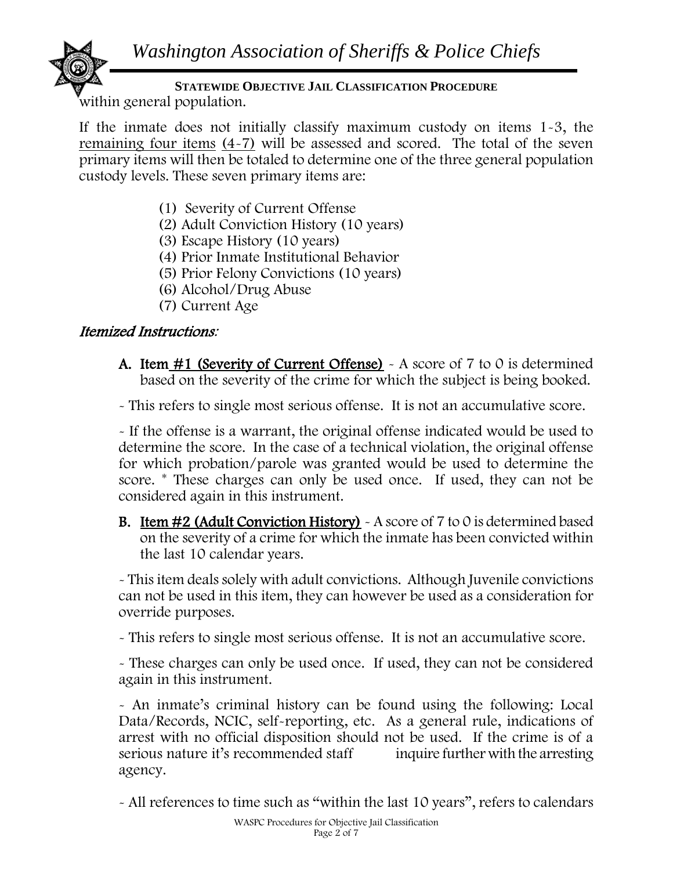

# **STATEWIDE OBJECTIVE JAIL CLASSIFICATION PROCEDURE**

within general population.

If the inmate does not initially classify maximum custody on items 1-3, the remaining four items (4-7) will be assessed and scored. The total of the seven primary items will then be totaled to determine one of the three general population custody levels. These seven primary items are:

- (1) Severity of Current Offense
- (2) Adult Conviction History (10 years)
- (3) Escape History (10 years)
- (4) Prior Inmate Institutional Behavior
- (5) Prior Felony Convictions (10 years)
- (6) Alcohol/Drug Abuse
- (7) Current Age

### Itemized Instructions:

A. Item  $\#1$  (Severity of Current Offense) - A score of 7 to 0 is determined based on the severity of the crime for which the subject is being booked.

- This refers to single most serious offense. It is not an accumulative score.

- If the offense is a warrant, the original offense indicated would be used to determine the score. In the case of a technical violation, the original offense for which probation/parole was granted would be used to determine the score. \* These charges can only be used once. If used, they can not be considered again in this instrument. Ī

**B.** Item  $#2$  (Adult Conviction History)  $\sim$  A score of 7 to 0 is determined based on the severity of a crime for which the inmate has been convicted within the last 10 calendar years.

- This item deals solely with adult convictions. Although Juvenile convictions can not be used in this item, they can however be used as a consideration for override purposes.

- This refers to single most serious offense. It is not an accumulative score.

- These charges can only be used once. If used, they can not be considered again in this instrument.

- An inmate's criminal history can be found using the following: Local Data/Records, NCIC, self-reporting, etc. As a general rule, indications of arrest with no official disposition should not be used. If the crime is of a serious nature it's recommended staff inquire further with the arresting agency.

- All references to time such as "within the last 10 years", refers to calendars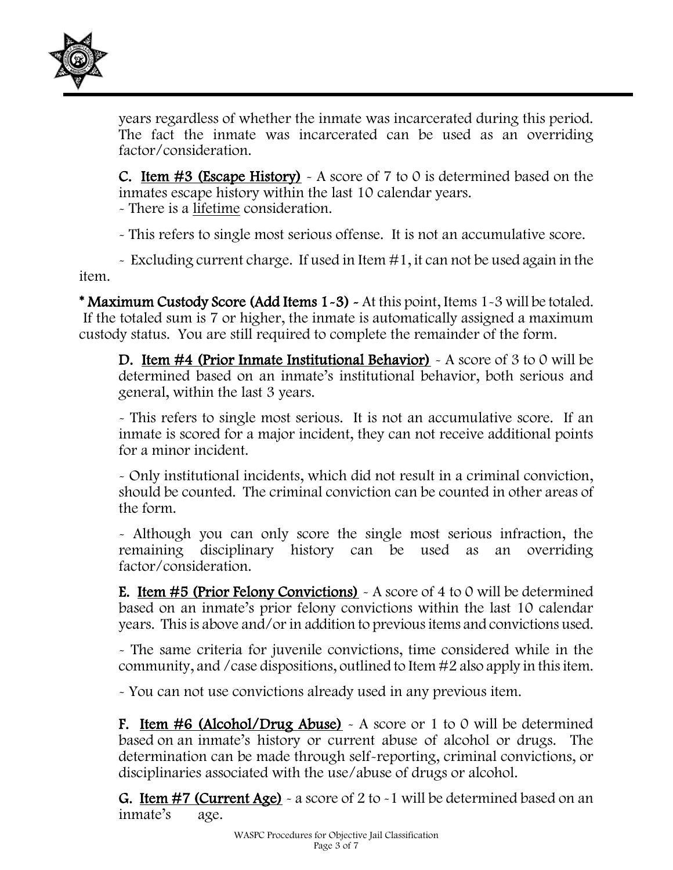

years regardless of whether the inmate was incarcerated during this period. The fact the inmate was incarcerated can be used as an overriding factor/consideration.

**C.** Item  $\#3$  (Escape History) - A score of 7 to 0 is determined based on the inmates escape history within the last 10 calendar years.

- There is a lifetime consideration.

- This refers to single most serious offense. It is not an accumulative score.

 $\sim$  Excluding current charge. If used in Item  $\#1$ , it can not be used again in the item.

\* Maximum Custody Score (Add Items 1-3) - At this point, Items 1-3 will be totaled. If the totaled sum is 7 or higher, the inmate is automatically assigned a maximum custody status. You are still required to complete the remainder of the form.

D. Item #4 (Prior Inmate Institutional Behavior) - A score of 3 to 0 will be determined based on an inmate's institutional behavior, both serious and general, within the last 3 years.

- This refers to single most serious. It is not an accumulative score. If an inmate is scored for a major incident, they can not receive additional points for a minor incident.

- Only institutional incidents, which did not result in a criminal conviction, should be counted. The criminal conviction can be counted in other areas of the form.

- Although you can only score the single most serious infraction, the remaining disciplinary history can be used as an overriding factor/consideration.

E. Item #5 (Prior Felony Convictions) - A score of 4 to 0 will be determined based on an inmate's prior felony convictions within the last 10 calendar years. This is above and/or in addition to previous items and convictions used.

- The same criteria for juvenile convictions, time considered while in the community, and /case dispositions, outlined to Item #2 also apply in this item.

- You can not use convictions already used in any previous item.

F. Item  $\#6$  (Alcohol/Drug Abuse) - A score or 1 to 0 will be determined based on an inmate's history or current abuse of alcohol or drugs. The determination can be made through self-reporting, criminal convictions, or disciplinaries associated with the use/abuse of drugs or alcohol.

**G. Item #7 (Current Age)**  $\sim$  a score of 2 to  $\sim$  1 will be determined based on an inmate's age.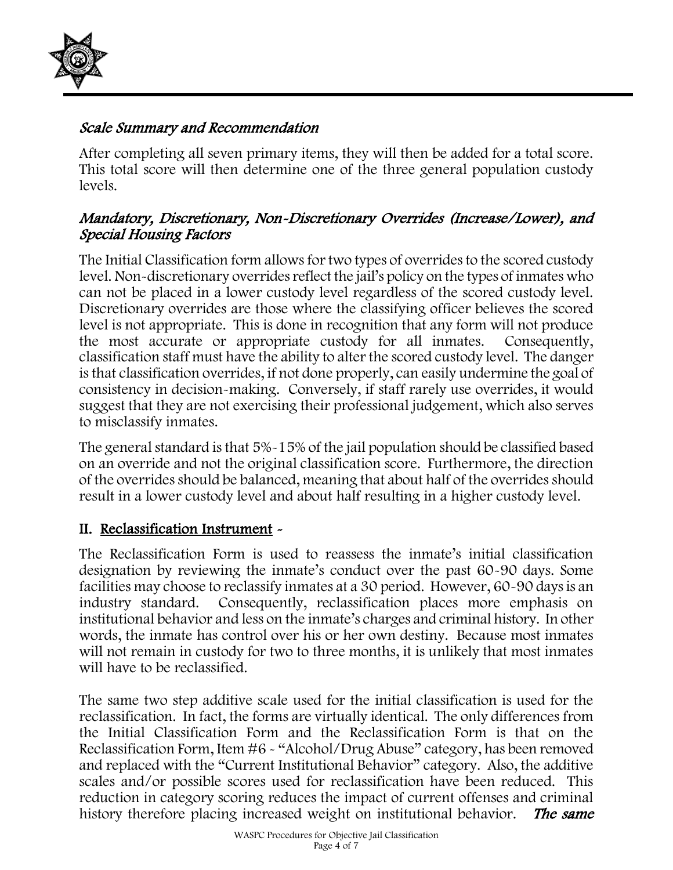

### Scale Summary and Recommendation

After completing all seven primary items, they will then be added for a total score. This total score will then determine one of the three general population custody levels.

### Mandatory, Discretionary, Non-Discretionary Overrides (Increase/Lower), and Special Housing Factors

The Initial Classification form allows for two types of overrides to the scored custody level. Non-discretionary overrides reflect the jail's policy on the types of inmates who can not be placed in a lower custody level regardless of the scored custody level. Discretionary overrides are those where the classifying officer believes the scored level is not appropriate. This is done in recognition that any form will not produce the most accurate or appropriate custody for all inmates. Consequently, classification staff must have the ability to alter the scored custody level. The danger is that classification overrides, if not done properly, can easily undermine the goal of consistency in decision-making. Conversely, if staff rarely use overrides, it would suggest that they are not exercising their professional judgement, which also serves to misclassify inmates.

The general standard is that 5%-15% of the jail population should be classified based on an override and not the original classification score. Furthermore, the direction of the overrides should be balanced, meaning that about half of the overrides should result in a lower custody level and about half resulting in a higher custody level.

### II. Reclassification Instrument -

The Reclassification Form is used to reassess the inmate's initial classification designation by reviewing the inmate's conduct over the past 60-90 days. Some facilities may choose to reclassify inmates at a 30 period. However, 60-90 days is an industry standard. Consequently, reclassification places more emphasis on institutional behavior and less on the inmate's charges and criminal history. In other words, the inmate has control over his or her own destiny. Because most inmates will not remain in custody for two to three months, it is unlikely that most inmates will have to be reclassified.

The same two step additive scale used for the initial classification is used for the reclassification. In fact, the forms are virtually identical. The only differences from the Initial Classification Form and the Reclassification Form is that on the Reclassification Form, Item #6 - "Alcohol/Drug Abuse" category, has been removed and replaced with the "Current Institutional Behavior" category. Also, the additive scales and/or possible scores used for reclassification have been reduced. This reduction in category scoring reduces the impact of current offenses and criminal history therefore placing increased weight on institutional behavior. The same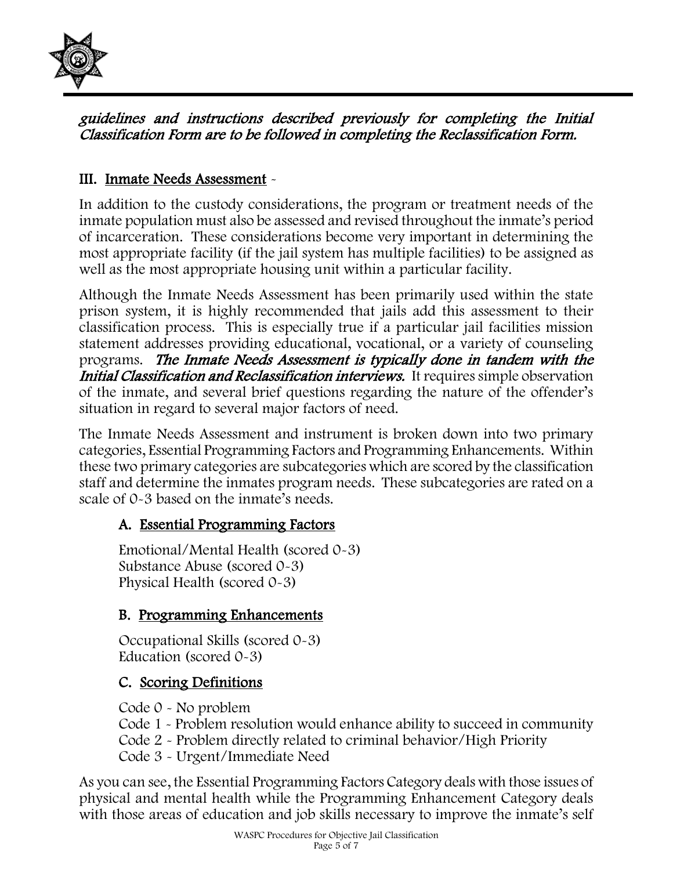

#### guidelines and instructions described previously for completing the Initial Classification Form are to be followed in completing the Reclassification Form.

### III. Inmate Needs Assessment -

In addition to the custody considerations, the program or treatment needs of the inmate population must also be assessed and revised throughout the inmate's period of incarceration. These considerations become very important in determining the most appropriate facility (if the jail system has multiple facilities) to be assigned as well as the most appropriate housing unit within a particular facility.

Although the Inmate Needs Assessment has been primarily used within the state prison system, it is highly recommended that jails add this assessment to their classification process. This is especially true if a particular jail facilities mission statement addresses providing educational, vocational, or a variety of counseling programs. The Inmate Needs Assessment is typically done in tandem with the Initial Classification and Reclassification interviews. It requires simple observation of the inmate, and several brief questions regarding the nature of the offender's situation in regard to several major factors of need.

The Inmate Needs Assessment and instrument is broken down into two primary categories, Essential Programming Factors and Programming Enhancements. Within these two primary categories are subcategories which are scored by the classification staff and determine the inmates program needs. These subcategories are rated on a scale of 0-3 based on the inmate's needs.

### A. Essential Programming Factors

Emotional/Mental Health (scored 0-3) Substance Abuse (scored 0-3) Physical Health (scored 0-3)

### B. Programming Enhancements

Occupational Skills (scored 0-3) Education (scored 0-3)

## C. Scoring Definitions

Code 0 - No problem

- Code 1 Problem resolution would enhance ability to succeed in community
- Code 2 Problem directly related to criminal behavior/High Priority
- Code 3 Urgent/Immediate Need

As you can see, the Essential Programming Factors Category deals with those issues of physical and mental health while the Programming Enhancement Category deals with those areas of education and job skills necessary to improve the inmate's self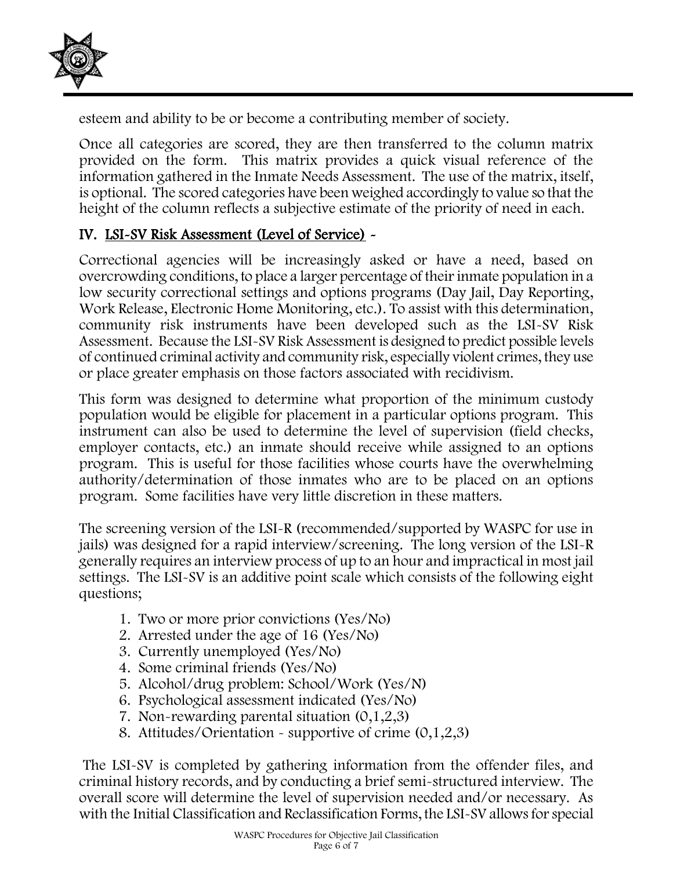

esteem and ability to be or become a contributing member of society.

Once all categories are scored, they are then transferred to the column matrix provided on the form. This matrix provides a quick visual reference of the information gathered in the Inmate Needs Assessment. The use of the matrix, itself, is optional. The scored categories have been weighed accordingly to value so that the height of the column reflects a subjective estimate of the priority of need in each.

## IV. LSI-SV Risk Assessment (Level of Service) -

Correctional agencies will be increasingly asked or have a need, based on overcrowding conditions, to place a larger percentage of their inmate population in a low security correctional settings and options programs (Day Jail, Day Reporting, Work Release, Electronic Home Monitoring, etc.). To assist with this determination, community risk instruments have been developed such as the LSI-SV Risk Assessment. Because the LSI-SV Risk Assessment is designed to predict possible levels of continued criminal activity and community risk, especially violent crimes, they use or place greater emphasis on those factors associated with recidivism.

This form was designed to determine what proportion of the minimum custody population would be eligible for placement in a particular options program. This instrument can also be used to determine the level of supervision (field checks, employer contacts, etc.) an inmate should receive while assigned to an options program. This is useful for those facilities whose courts have the overwhelming authority/determination of those inmates who are to be placed on an options program. Some facilities have very little discretion in these matters.

The screening version of the LSI-R (recommended/supported by WASPC for use in jails) was designed for a rapid interview/screening. The long version of the LSI-R generally requires an interview process of up to an hour and impractical in most jail settings. The LSI-SV is an additive point scale which consists of the following eight questions;

- 1. Two or more prior convictions (Yes/No)
- 2. Arrested under the age of 16 (Yes/No)
- 3. Currently unemployed (Yes/No)
- 4. Some criminal friends (Yes/No)
- 5. Alcohol/drug problem: School/Work (Yes/N)
- 6. Psychological assessment indicated (Yes/No)
- 7. Non-rewarding parental situation (0,1,2,3)
- 8. Attitudes/Orientation supportive of crime (0,1,2,3)

The LSI-SV is completed by gathering information from the offender files, and criminal history records, and by conducting a brief semi-structured interview. The overall score will determine the level of supervision needed and/or necessary. As with the Initial Classification and Reclassification Forms, the LSI-SV allows for special